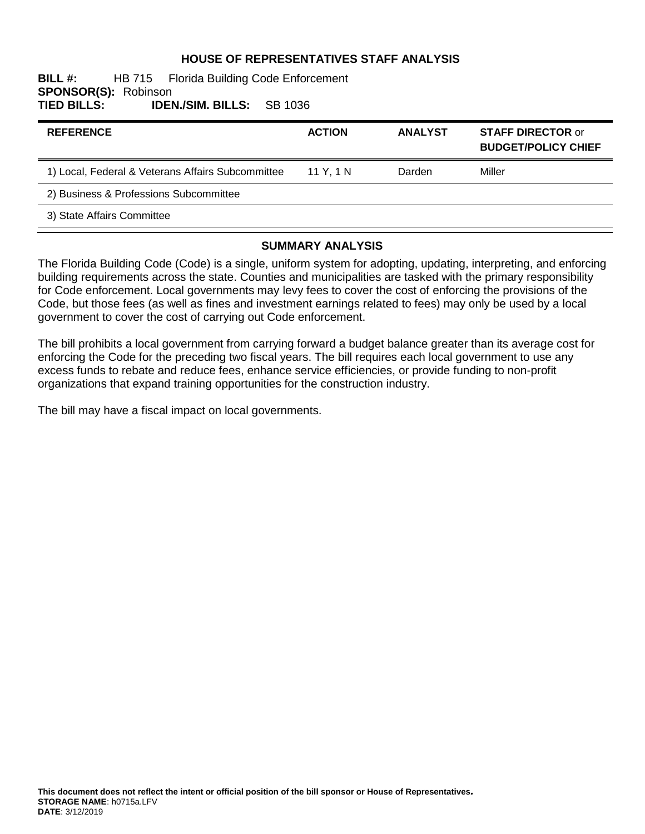### **HOUSE OF REPRESENTATIVES STAFF ANALYSIS**

#### **BILL #:** HB 715 Florida Building Code Enforcement **SPONSOR(S): Robinson<br>TIED BILLS: IDEI TIED BILLS: IDEN./SIM. BILLS:** SB 1036

| <b>REFERENCE</b>                                  | <b>ACTION</b> | <b>ANALYST</b> | <b>STAFF DIRECTOR or</b><br><b>BUDGET/POLICY CHIEF</b> |
|---------------------------------------------------|---------------|----------------|--------------------------------------------------------|
| 1) Local, Federal & Veterans Affairs Subcommittee | 11 Y. 1 N     | Darden         | Miller                                                 |
| 2) Business & Professions Subcommittee            |               |                |                                                        |
| 3) State Affairs Committee                        |               |                |                                                        |

### **SUMMARY ANALYSIS**

The Florida Building Code (Code) is a single, uniform system for adopting, updating, interpreting, and enforcing building requirements across the state. Counties and municipalities are tasked with the primary responsibility for Code enforcement. Local governments may levy fees to cover the cost of enforcing the provisions of the Code, but those fees (as well as fines and investment earnings related to fees) may only be used by a local government to cover the cost of carrying out Code enforcement.

The bill prohibits a local government from carrying forward a budget balance greater than its average cost for enforcing the Code for the preceding two fiscal years. The bill requires each local government to use any excess funds to rebate and reduce fees, enhance service efficiencies, or provide funding to non-profit organizations that expand training opportunities for the construction industry.

The bill may have a fiscal impact on local governments.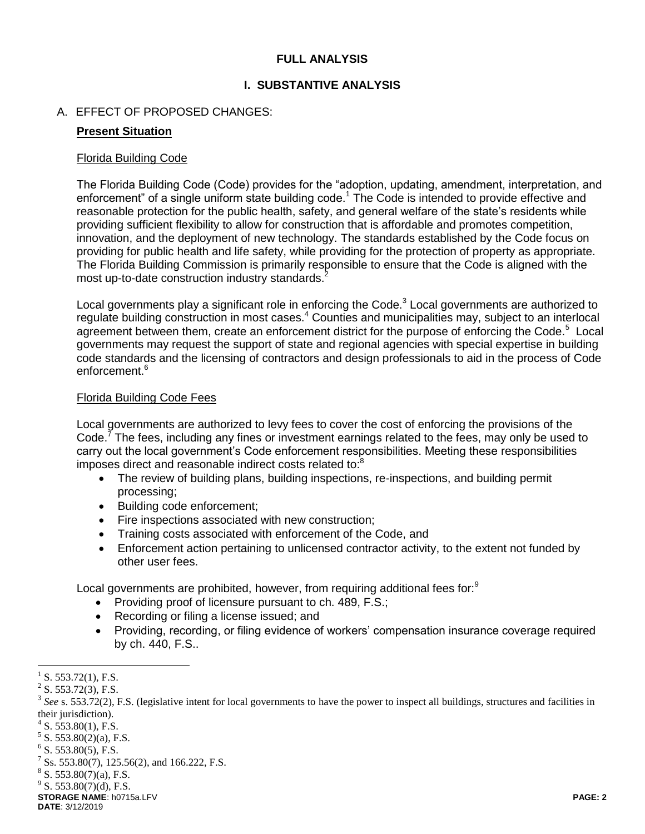### **FULL ANALYSIS**

### **I. SUBSTANTIVE ANALYSIS**

### A. EFFECT OF PROPOSED CHANGES:

### **Present Situation**

#### Florida Building Code

The Florida Building Code (Code) provides for the "adoption, updating, amendment, interpretation, and enforcement" of a single uniform state building code.<sup>1</sup> The Code is intended to provide effective and reasonable protection for the public health, safety, and general welfare of the state's residents while providing sufficient flexibility to allow for construction that is affordable and promotes competition, innovation, and the deployment of new technology. The standards established by the Code focus on providing for public health and life safety, while providing for the protection of property as appropriate. The Florida Building Commission is primarily responsible to ensure that the Code is aligned with the most up-to-date construction industry standards.<sup>2</sup>

Local governments play a significant role in enforcing the Code. $3$  Local governments are authorized to regulate building construction in most cases.<sup>4</sup> Counties and municipalities may, subject to an interlocal agreement between them, create an enforcement district for the purpose of enforcing the Code.<sup>5</sup> Local governments may request the support of state and regional agencies with special expertise in building code standards and the licensing of contractors and design professionals to aid in the process of Code enforcement.<sup>6</sup>

#### Florida Building Code Fees

Local governments are authorized to levy fees to cover the cost of enforcing the provisions of the Code.<sup>7</sup> The fees, including any fines or investment earnings related to the fees, may only be used to carry out the local government's Code enforcement responsibilities. Meeting these responsibilities imposes direct and reasonable indirect costs related to:<sup>8</sup>

- The review of building plans, building inspections, re-inspections, and building permit processing;
- Building code enforcement;
- Fire inspections associated with new construction;
- Training costs associated with enforcement of the Code, and
- Enforcement action pertaining to unlicensed contractor activity, to the extent not funded by other user fees.

Local governments are prohibited, however, from requiring additional fees for:<sup>9</sup>

- Providing proof of licensure pursuant to ch. 489, F.S.;
- Recording or filing a license issued; and
- Providing, recording, or filing evidence of workers' compensation insurance coverage required by ch. 440, F.S..

**STORAGE NAME**: h0715a.LFV **PAGE: 2 DATE**: 3/12/2019

 $\overline{a}$ 1 S. 553.72(1), F.S.

 $2^2$  S. 553.72(3), F.S.

<sup>&</sup>lt;sup>3</sup> See s. 553.72(2), F.S. (legislative intent for local governments to have the power to inspect all buildings, structures and facilities in their jurisdiction).

 $4$  S. 553.80(1), F.S.

 $5$  S. 553.80(2)(a), F.S.

 $6$  S. 553.80(5), F.S.

<sup>7</sup> Ss. 553.80(7), 125.56(2), and 166.222, F.S.

 $8$  S. 553.80(7)(a), F.S.

 $9^9$  S. 553.80(7)(d), F.S.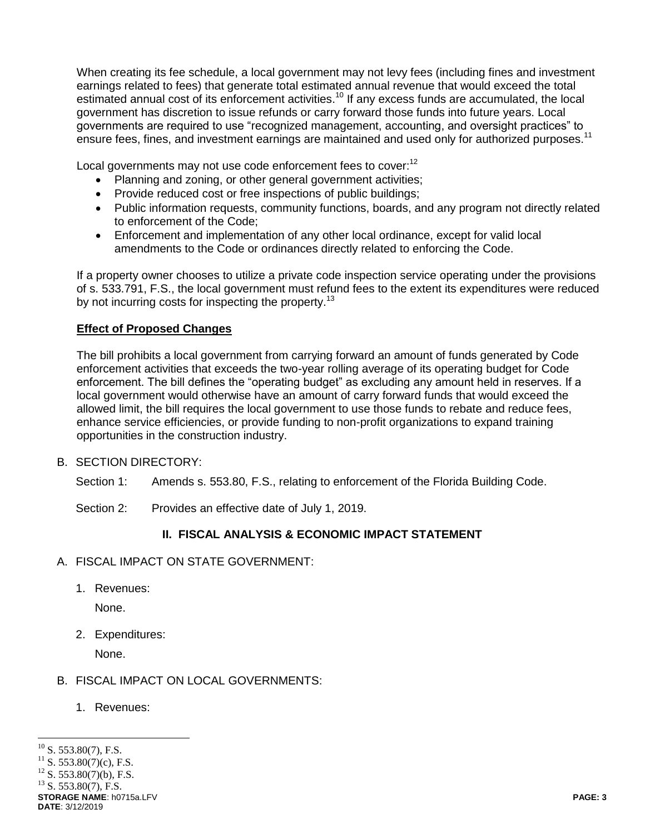When creating its fee schedule, a local government may not levy fees (including fines and investment earnings related to fees) that generate total estimated annual revenue that would exceed the total estimated annual cost of its enforcement activities.<sup>10</sup> If any excess funds are accumulated, the local government has discretion to issue refunds or carry forward those funds into future years. Local governments are required to use "recognized management, accounting, and oversight practices" to ensure fees, fines, and investment earnings are maintained and used only for authorized purposes.<sup>11</sup>

Local governments may not use code enforcement fees to cover:<sup>12</sup>

- Planning and zoning, or other general government activities;
- Provide reduced cost or free inspections of public buildings;
- Public information requests, community functions, boards, and any program not directly related to enforcement of the Code;
- Enforcement and implementation of any other local ordinance, except for valid local amendments to the Code or ordinances directly related to enforcing the Code.

If a property owner chooses to utilize a private code inspection service operating under the provisions of s. 533.791, F.S., the local government must refund fees to the extent its expenditures were reduced by not incurring costs for inspecting the property.<sup>13</sup>

## **Effect of Proposed Changes**

The bill prohibits a local government from carrying forward an amount of funds generated by Code enforcement activities that exceeds the two-year rolling average of its operating budget for Code enforcement. The bill defines the "operating budget" as excluding any amount held in reserves. If a local government would otherwise have an amount of carry forward funds that would exceed the allowed limit, the bill requires the local government to use those funds to rebate and reduce fees, enhance service efficiencies, or provide funding to non-profit organizations to expand training opportunities in the construction industry.

B. SECTION DIRECTORY:

Section 1: Amends s. 553.80, F.S., relating to enforcement of the Florida Building Code.

Section 2: Provides an effective date of July 1, 2019.

# **II. FISCAL ANALYSIS & ECONOMIC IMPACT STATEMENT**

- A. FISCAL IMPACT ON STATE GOVERNMENT:
	- 1. Revenues:

None.

2. Expenditures:

None.

## B. FISCAL IMPACT ON LOCAL GOVERNMENTS:

1. Revenues:

 $\overline{a}$  $^{10}$  S. 553.80(7), F.S.

 $S. 553.80(7)(c)$ , F.S.

 $^{12}$  S. 553.80(7)(b), F.S.

**STORAGE NAME**: h0715a.LFV **PAGE: 3 DATE**: 3/12/2019  $^{13}$  S. 553.80(7), F.S.